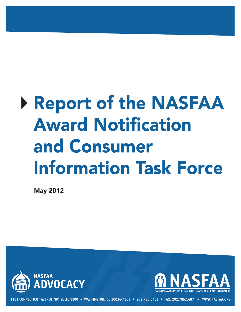# 4**ReportoftheNASFAA Award Notification** and Consumer **Information Task Force**

**May2012**





**1101 CONNECTICUT AVENUE NW, SUITE 1100 • WASHINGTON, DC 20036-4303 • 202.785.0453 • FAX. 202.785.1487 • WWW.NASFAA.ORG**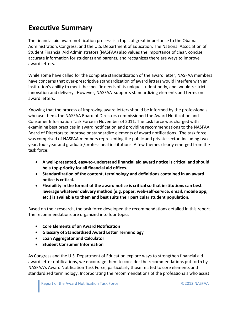## **Executive Summary**

The financial aid award notification process is a topic of great importance to the Obama Administration, Congress, and the U.S. Department of Education. The National Association of Student Financial Aid Administrators (NASFAA) also values the importance of clear, concise, accurate information for students and parents, and recognizes there are ways to improve award letters.

While some have called for the complete standardization of the award letter, NASFAA members have concerns that over-prescriptive standardization of award letters would interfere with an institution's ability to meet the specific needs of its unique student body, and would restrict innovation and delivery. However, NASFAA supports standardizing elements and terms on award letters.

Knowing that the process of improving award letters should be informed by the professionals who use them, the NASFAA Board of Directors commissioned the Award Notification and Consumer Information Task Force in November of 2011. The task force was charged with examining best practices in award notification and providing recommendations to the NASFAA Board of Directors to improve or standardize elements of award notifications. The task force was comprised of NASFAA members representing the public and private sector, including twoyear, four‐year and graduate/professional institutions. A few themes clearly emerged from the task force:

- **A well‐presented, easy‐to‐understand financial aid award notice is critical and should be a top‐priority for all financial aid offices.**
- **Standardization of the content, terminology and definitions contained in an award notice is critical.**
- **Flexibility in the format of the award notice is critical so that institutions can best leverage whatever delivery method (e.g. paper, web‐self‐service, email, mobile app, etc.) is available to them and best suits their particular student population.**

Based on their research, the task force developed the recommendations detailed in this report. The recommendations are organized into four topics:

- **Core Elements of an Award Notification**
- **Glossary of Standardized Award Letter Terminology**
- **Loan Aggregator and Calculator**
- **Student Consumer Information**

As Congress and the U.S. Department of Education explore ways to strengthen financial aid award letter notifications, we encourage them to consider the recommendations put forth by NASFAA's Award Notification Task Force, particularly those related to core elements and standardized terminology. Incorporating the recommendations of the professionals who assist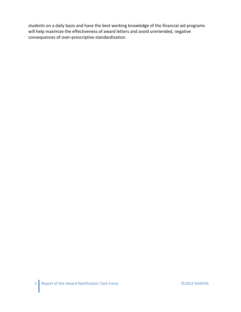students on a daily basis and have the best working knowledge of the financial aid programs will help maximize the effectiveness of award letters and avoid unintended, negative consequences of over‐prescriptive standardization.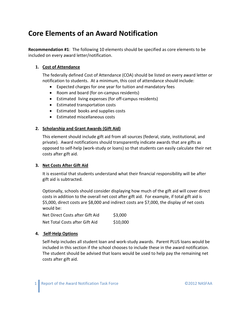## **Core Elements of an Award Notification**

**Recommendation #1**: The following 10 elements should be specified as core elements to be included on every award letter/notification.

#### **1. Cost of Attendance**

The federally defined Cost of Attendance (COA) should be listed on every award letter or notification to students. At a minimum, this cost of attendance should include:

- Expected charges for one year for tuition and mandatory fees
- Room and board (for on-campus residents)
- Estimated living expenses (for off‐campus residents)
- Estimated transportation costs
- Estimated books and supplies costs
- Estimated miscellaneous costs

#### **2. Scholarship and Grant Awards (Gift Aid)**

This element should include gift aid from all sources (federal, state, institutional, and private). Award notifications should transparently indicate awards that are gifts as opposed to self‐help (work‐study or loans) so that students can easily calculate their net costs after gift aid.

#### **3. Net Costs After Gift Aid**

It is essential that students understand what their financial responsibility will be after gift aid is subtracted.

Optionally, schools should consider displaying how much of the gift aid will cover direct costs in addition to the overall net cost after gift aid. For example, if total gift aid is \$5,000, direct costs are \$8,000 and indirect costs are \$7,000, the display of net costs would be:

| Net Direct Costs after Gift Aid | \$3,000  |
|---------------------------------|----------|
| Net Total Costs after Gift Aid  | \$10,000 |

#### **4. Self‐Help Options**

Self‐help includes all student loan and work‐study awards. Parent PLUS loans would be included in this section if the school chooses to include these in the award notification. The student should be advised that loans would be used to help pay the remaining net costs after gift aid.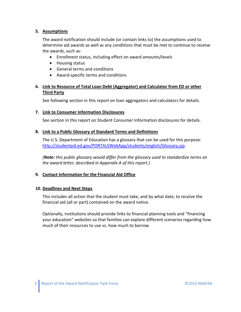#### **5. Assumptions**

The award notification should include (or contain links to) the assumptions used to determine aid awards as well as any conditions that must be met to continue to receive the awards, such as:

- Enrollment status, including effect on award amounts/levels
- Housing status
- General terms and conditions
- Award-specific terms and conditions

#### **6. Link to Resource of Total Loan Debt (Aggregator) and Calculator from ED or other Third Party**

See following section in this report on loan aggregators and calculators for details.

#### **7. Link to Consumer Information Disclosures**

See section in this report on Student Consumer Information disclosures for details.

#### **8. Link to a Public Glossary of Standard Terms and Definitions**

The U.S. Department of Education has a glossary that can be used for this purpose: http://studentaid.ed.gov/PORTALSWebApp/students/english/Glossary.jsp.

*(Note: this public glossary would differ from the glossary used to standardize terms on the award letter, described in Appendix A of this report.)*

#### **9. Contact Information for the Financial Aid Office**

#### **10. Deadlines and Next Steps**

This includes all action that the student must take, and by what date, to receive the financial aid (all or part) contained on the award notice.

Optionally, institutions should provide links to financial planning tools and "financing your education" websites so that families can explore different scenarios regarding how much of their resources to use vs. how much to borrow.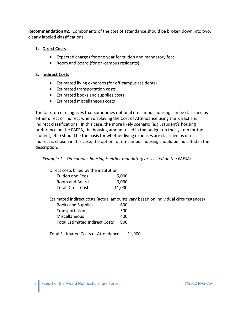**Recommendation #2**: Components of the cost of attendance should be broken down into two, clearly labeled classifications:

#### **1. Direct Costs**

- Expected charges for one year for tuition and mandatory fees
- Room and board (for on-campus residents)

#### **2. Indirect Costs**

- Estimated living expenses (for off‐campus residents)
- Estimated transportation costs
- Estimated books and supplies costs
- Estimated miscellaneous costs

The task force recognizes that sometimes optional on‐campus housing can be classified as either direct or indirect when displaying the Cost of Attendance using the direct and indirect classifications. In this case, the more likely scenario (e.g., student's housing preference on the FAFSA, the housing amount used in the budget on the system for the student, etc.) should be the basis for whether living expenses are classified as direct. If indirect is chosen in this case, the option for on‐campus housing should be indicated in the description.

*Example 1: On‐campus housing is either mandatory or is listed on the FAFSA:*

| Direct costs billed by the institution: |    |
|-----------------------------------------|----|
| Tuition and Foos                        | 50 |

| <b>Tuition and Fees</b>   | 5,000  |
|---------------------------|--------|
| Room and Board            | 6,000  |
| <b>Total Direct Costs</b> | 11,000 |

Estimated indirect costs (actual amounts vary based on individual circumstances)

| <b>Books and Supplies</b>             | 600 |
|---------------------------------------|-----|
| Transportation                        | 500 |
| Miscellaneous                         | 400 |
| <b>Total Estimated Indirect Costs</b> | 900 |

Total Estimated Costs of Attendance 11,900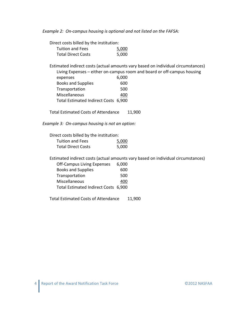*Example 2: On‐campus housing is optional and not listed on the FAFSA:*

Direct costs billed by the institution: Tuition and Fees 5,000 Total Direct Costs 5,000

Estimated indirect costs (actual amounts vary based on individual circumstances) Living Expenses – either on‐campus room and board or off‐campus housing

| expenses                             | 6,000 |
|--------------------------------------|-------|
| <b>Books and Supplies</b>            | 600   |
| Transportation                       | 500   |
| Miscellaneous                        | 400   |
| Total Estimated Indirect Costs 6,900 |       |

Total Estimated Costs of Attendance 11,900

*Example 3: On‐campus housing is not an option:*

| Direct costs billed by the institution: |       |
|-----------------------------------------|-------|
| <b>Tuition and Fees</b>                 | 5,000 |
| <b>Total Direct Costs</b>               | 5,000 |

Estimated indirect costs (actual amounts vary based on individual circumstances) Off Campus Living Expenses 6,000

| Off-Campus Living Expenses           | 6,000 |
|--------------------------------------|-------|
| <b>Books and Supplies</b>            | 600   |
| Transportation                       | 500   |
| Miscellaneous                        | 400   |
| Total Estimated Indirect Costs 6,900 |       |

Total Estimated Costs of Attendance 11,900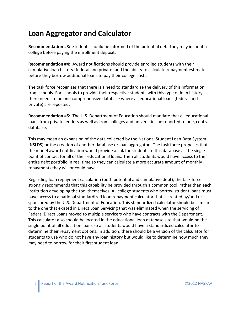## **Loan Aggregator and Calculator**

**Recommendation #3:** Students should be informed of the potential debt they may incur at a college before paying the enrollment deposit.

**Recommendation #4:** Award notifications should provide enrolled students with their cumulative loan history (federal and private) and the ability to calculate repayment estimates before they borrow additional loans to pay their college costs.

The task force recognizes that there is a need to standardize the delivery of this information from schools. For schools to provide their respective students with this type of loan history, there needs to be one comprehensive database where all educational loans (federal and private) are reported.

**Recommendation #5:** The U.S. Department of Education should mandate that all educational loans from private lenders as well as from colleges and universities be reported to one, central database.

This may mean an expansion of the data collected by the National Student Loan Data System (NSLDS) or the creation of another database or loan aggregator. The task force proposes that the model award notification would provide a link for students to this database as the single point of contact for all of their educational loans. Then all students would have access to their entire debt portfolio in real time so they can calculate a more accurate amount of monthly repayments they will or could have.

Regarding loan repayment calculation (both potential and cumulative debt), the task force strongly recommends that this capability be provided through a common tool, rather than each institution developing the tool themselves. All college students who borrow student loans must have access to a national standardized loan repayment calculator that is created by/and or sponsored by the U.S. Department of Education. This standardized calculator should be similar to the one that existed in Direct Loan Servicing that was eliminated when the servicing of Federal Direct Loans moved to multiple servicers who have contracts with the Department. This calculator also should be located in the educational loan database site that would be the single point of all education loans so all students would have a standardized calculator to determine their repayment options. In addition, there should be a version of the calculator for students to use who do not have any loan history but would like to determine how much they may need to borrow for their first student loan.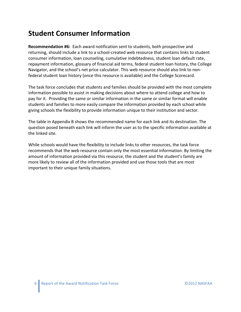## **Student Consumer Information**

**Recommendation #6:** Each award notification sent to students, both prospective and returning, should include a link to a school-created web resource that contains links to student consumer information, loan counseling, cumulative indebtedness, student loan default rate, repayment information, glossary of financial aid terms, federal student loan history, the College Navigator, and the school's net price calculator. This web resource should also link to non‐ federal student loan history (once this resource is available) and the College Scorecard.

The task force concludes that students and families should be provided with the most complete information possible to assist in making decisions about where to attend college and how to pay for it. Providing the same or similar information in the same or similar format will enable students and families to more easily compare the information provided by each school while giving schools the flexibility to provide information unique to their institution and sector.

The table in Appendix B shows the recommended name for each link and its destination. The question posed beneath each link will inform the user as to the specific information available at the linked site.

While schools would have the flexibility to include links to other resources, the task force recommends that the web resource contain only the most essential information. By limiting the amount of information provided via this resource, the student and the student's family are more likely to review all of the information provided and use those tools that are most important to their unique family situations.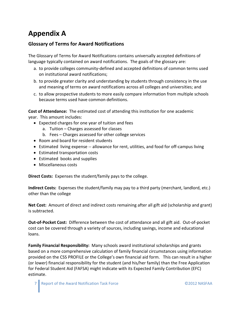## **Appendix A**

## **Glossary of Terms for Award Notifications**

The Glossary of Terms for Award Notifications contains universally accepted definitions of language typically contained on award notifications. The goals of the glossary are:

- a. to provide colleges community‐defined and accepted definitions of common terms used on institutional award notifications;
- b. to provide greater clarity and understanding by students through consistency in the use and meaning of terms on award notifications across all colleges and universities; and
- c. to allow prospective students to more easily compare information from multiple schools because terms used have common definitions.

**Cost of Attendance:** The estimated cost of attending this institution for one academic year. This amount includes:

- Expected charges for one year of tuition and fees
	- a. Tuition Charges assessed for classes
	- b. Fees Charges assessed for other college services
- Room and board for resident students
- Estimated living expense -- allowance for rent, utilities, and food for off-campus living
- Estimated transportation costs
- Estimated books and supplies
- Miscellaneous costs

**Direct Costs:** Expenses the student/family pays to the college.

**Indirect Costs:** Expenses the student/family may pay to a third party (merchant, landlord, etc.) other than the college

**Net Cost:** Amount of direct and indirect costs remaining after all gift aid (scholarship and grant) is subtracted.

**Out‐of‐Pocket Cost:** Difference between the cost of attendance and all gift aid. Out‐of‐pocket cost can be covered through a variety of sources, including savings, income and educational loans.

**Family Financial Responsibility:** Many schools award institutional scholarships and grants based on a more comprehensive calculation of family financial circumstances using information provided on the CSS PROFILE or the College's own financial aid form. This can result in a higher (or lower) financial responsibility for the student (and his/her family) than the Free Application for Federal Student Aid (FAFSA) might indicate with its Expected Family Contribution (EFC) estimate.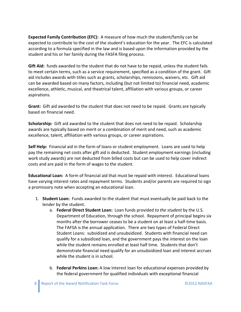**Expected Family Contribution (EFC):** A measure of how much the student/family can be expected to contribute to the cost of the student's education for the year. The EFC is calculated according to a formula specified in the law and is based upon the information provided by the student and his or her family during the FASFA filing process.

**Gift Aid:** funds awarded to the student that do not have to be repaid, unless the student fails to meet certain terms, such as a service requirement, specified as a condition of the grant. Gift aid includes awards with titles such as grants, scholarships, remissions, waivers, etc. Gift aid can be awarded based on many factors, including (but not limited to) financial need, academic excellence, athletic, musical, and theatrical talent, affiliation with various groups, or career aspirations.

**Grant:** Gift aid awarded to the student that does not need to be repaid. Grants are typically based on financial need.

**Scholarship:** Gift aid awarded to the student that does not need to be repaid. Scholarship awards are typically based on merit or a combination of merit and need, such as academic excellence, talent, affiliation with various groups, or career aspirations.

**Self Help:** Financial aid in the form of loans or student employment. Loans are used to help pay the remaining net costs after gift aid is deducted. Student employment earnings (including work study awards) are not deducted from billed costs but can be used to help cover indirect costs and are paid in the form of wages to the student.

**Educational Loan:** A form of financial aid that must be repaid with interest. Educational loans have varying interest rates and repayment terms. Students and/or parents are required to sign a promissory note when accepting an educational loan.

- 1. **Student Loan:** Funds awarded to the student that must eventually be paid back to the lender by the student.
	- a. **Federal Direct Student Loan:** Loan funds provided *to the student* by the U.S. Department of Education, through the school. Repayment of principal begins six months after the borrower ceases to be a student on at least a half‐time basis. The FAFSA is the annual application. There are two types of Federal Direct Student Loans: subsidized and unsubsidized. Students with financial need can qualify for a subsidized loan, and the government pays the interest on the loan while the student remains enrolled at least half time. Students that don't demonstrate financial need qualify for an unsubsidized loan and interest accrues while the student is in school.
	- b. **Federal Perkins Loan:** A low interest loan for educational expenses provided by the federal government for qualified individuals with exceptional financial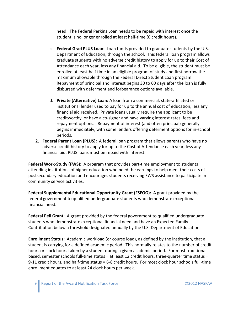need. The Federal Perkins Loan needs to be repaid with interest once the student is no longer enrolled at least half‐time (6 credit hours).

- c. **Federal Grad PLUS Loan:** Loan funds provided to graduate students by the U.S. Department of Education, through the school. This federal loan program allows graduate students with no adverse credit history to apply for up to their Cost of Attendance each year, less any financial aid. To be eligible, the student must be enrolled at least half time in an eligible program of study and first borrow the maximum allowable through the Federal Direct Student Loan program. Repayment of principal and interest begins 30 to 60 days after the loan is fully disbursed with deferment and forbearance options available.
- d. **Private (Alternative) Loan:** A loan from a commercial, state‐affiliated or institutional lender used to pay for up to the annual cost of education, less any financial aid received. Private loans usually require the applicant to be creditworthy, or have a co‐signer and have varying interest rates, fees and repayment options. Repayment of interest (and often principal) generally begins immediately, with some lenders offering deferment options for in‐school periods.
- **2. Federal Parent Loan (PLUS):** A federal loan program that allows parents who have no adverse credit history to apply for up to the Cost of Attendance each year, less any financial aid. PLUS loans must be repaid with interest.

**Federal Work‐Study (FWS):** A program that provides part‐time employment to students attending institutions of higher education who need the earnings to help meet their costs of postsecondary education and encourages students receiving FWS assistance to participate in community service activities.

**Federal Supplemental Educational Opportunity Grant (FSEOG):** A grant provided by the federal government to qualified undergraduate students who demonstrate exceptional financial need.

**Federal Pell Grant**: A grant provided by the federal government to qualified undergraduate students who demonstrate exceptional financial need and have an Expected Family Contribution below a threshold designated annually by the U.S. Department of Education.

**Enrollment Status:** Academic workload (or course load), as defined by the institution, that a student is carrying for a defined academic period. This normally relates to the number of credit hours or clock hours taken by a student during a given academic period. For most traditional based, semester schools full-time status = at least 12 credit hours, three-quarter time status = 9-11 credit hours, and half-time status = 6-8 credit hours. For most clock hour schools full-time enrollment equates to at least 24 clock hours per week.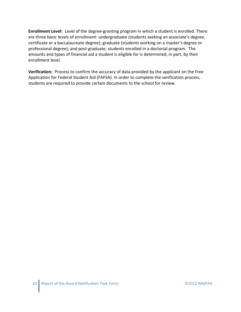**Enrollment Level:** Level of the degree‐granting program in which a student is enrolled. There are three basic levels of enrollment: undergraduate (students seeking an associate's degree, certificate or a baccalaureate degree); graduate (students working on a master's degree or professional degree); and post‐graduate, students enrolled in a doctorial program. The amounts and types of financial aid a student is eligible for is determined, in part, by their enrollment level.

**Verification:** Process to confirm the accuracy of data provided by the applicant on the Free Application for Federal Student Aid (FAFSA). In order to complete the verification process, students are required to provide certain documents to the school for review.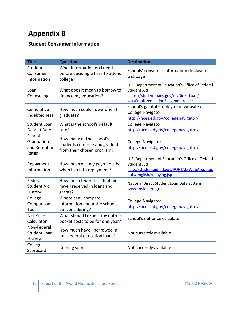# **Appendix B**

## **Student Consumer Information**

| <b>Title</b>                                   | <b>Question</b>                                                                          | <b>Destination</b>                                                                                                                                 |
|------------------------------------------------|------------------------------------------------------------------------------------------|----------------------------------------------------------------------------------------------------------------------------------------------------|
| Student<br>Consumer<br>Information             | What information do I need<br>before deciding where to attend<br>college?                | Schools' consumer information disclosures<br>webpage                                                                                               |
| Loan<br>Counseling                             | What does it mean to borrow to<br>finance my education?                                  | U.S. Department of Education's Office of Federal<br>Student Aid<br>https://studentloans.gov/myDirectLoan/<br>whatYouNeed.action?page=entrance      |
| Cumulative<br>Indebtedness                     | How much could I owe when I<br>graduate?                                                 | School's gainful employment website or<br><b>College Navigator</b><br>http://nces.ed.gov/collegenavigator/                                         |
| <b>Student Loan</b><br>Default Rate            | What is the school's default<br>rate?                                                    | <b>College Navigator</b><br>http://nces.ed.gov/collegenavigator/                                                                                   |
| School<br>Graduation<br>and Retention<br>Rates | How many of the school's<br>students continue and graduate<br>from their chosen program? | <b>College Navigator</b><br>http://nces.ed.gov/collegenavigator/                                                                                   |
| Repayment<br>Information                       | How much will my payments be<br>when I go into repayment?                                | U.S. Department of Education's Office of Federal<br><b>Student Aid</b><br>http://studentaid.ed.gov/PORTALSWebApp/stud<br>ents/english/repaying.jsp |
| Federal<br><b>Student Aid</b><br>History       | How much federal student aid<br>have I received in loans and<br>grants?                  | National Direct Student Loan Data System<br>www.nslds.ed.gov                                                                                       |
| College<br>Comparison<br>Tool                  | Where can I compare<br>information about the schools I<br>am considering?                | <b>College Navigator</b><br>http://nces.ed.gov/collegenavigator/                                                                                   |
| <b>Net Price</b><br>Calculator                 | What should I expect my out-of-<br>pocket costs to be for one year?                      | School's net price calculator                                                                                                                      |
| Non-Federal<br><b>Student Loan</b><br>History  | How much have I borrowed in<br>non-federal education loans?                              | Not currently available                                                                                                                            |
| College<br>Scorecard                           | Coming soon                                                                              | Not currently available                                                                                                                            |